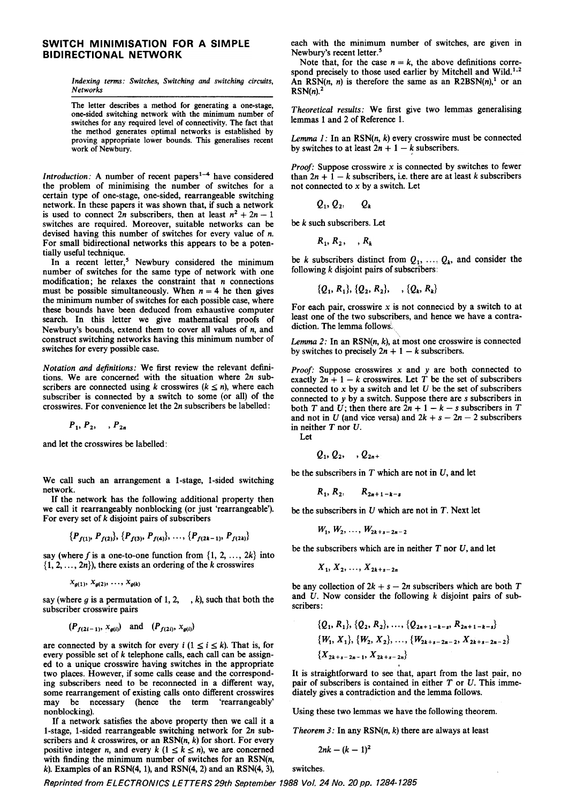## SWITCH MINIMISATION FOR A SIMPLE BIDIRECTIONAL NETWORK

Indexing terms: Switches, Switching and switching circuits, **Networks** 

The letter describes a method for generating a one-stage, one-sided switching network with the minimum number of switches for any required level of connectivity. The fact that the method generates optimal networks is established by proving appropriate lower bounds. This generalises recent work of Newbury.

Introduction: A number of recent papers<sup>1-4</sup> have considered the problem of minimising the number of switches for a certain type of one-stage, one-sided, rearrangeable switching network. In these papers it was shown that, if such a network is used to connect 2n subscribers, then at least  $n^2 + 2n - 1$ switches are required. Moreover, suitable networks can be devised having this number of switches for every value of n. For small bidirectional networks this appears to be a potentially useful technique.

In a recent letter,<sup>5</sup> Newbury considered the minimum number of switches for the same type of network with one modification; he relaxes the constraint that  $n$  connections must be possible simultaneously. When  $n = 4$  he then gives the minimum number of switches for each possible case, where these bounds have been deduced from exhaustive computer search. In this letter we give mathematical proofs of Newbury's bounds, extend them to cover all values of  $n$ , and construct switching networks having this minimum number of switches for every possible case.

Notation and definitions: We first review the relevant definitions. We are concerned with the situation where 2n subscribers are connected using k crosswires ( $k \le n$ ), where each subscriber is connected by a switch to some (or all) of the crosswires. For convenience let the 2n subscribers be labelled:

$$
P_1, P_2, \ldots, P_{2n}
$$

and let the crosswires be labelled:

We call such an arrangement a I-stage, I-sided switching network.

If the network has the following additional property then we call it rearrangeably nonblocking (or just 'rearrangeable'). For every set of  $k$  disjoint pairs of subscribers

$$
\{P_{f(1)}, P_{f(2)}\}, \{P_{f(3)}, P_{f(4)}\}, \ldots, \{P_{f(2k-1)}, P_{f(2k)}\}
$$

say (where f is a one-to-one function from  $\{1, 2, ..., 2k\}$  into  $\{1, 2, \ldots, 2n\}$ , there exists an ordering of the k crosswires

$$
x_{q(1)}, x_{q(2)}, \ldots, x_{q(k)}
$$

say (where g is a permutation of 1, 2,  $\ldots$ , k), such that both the subscriber crosswire pairs

$$
(P_{f(2i-1)}, x_{g(i)})
$$
 and  $(P_{f(2i)}, x_{g(i)})$ 

are connected by a switch for every  $i$  ( $1 \le i \le k$ ). That is, for every possible set of  $k$  telephone calls, each call can be assigned to a unique crosswire having switches in the appropriate two places. However, if some calls cease and the correspond-<br>in it is straightforward to see that, apart from the last pair, no<br>ing subscribers need to be reconnected in a different way, pair of subscribers is contained i ing subscribers need to be reconnected in a different way, some rearrangement of existing calls onto different crosswires diately gives a contradiction and the lemma follows. may be necessary (hence the term 'rearrangeably' nonblocking). Using these two lemmas we have the following theorem.

If a network satisfies the above property then we call it a 1-stage, 1-sided rearrangeable switching network for  $2n$  sub-<br>Theorem 3: In any RSN(n, k) there are always at least scribers and  $k$  crosswires, or an RSN $(n, k)$  for short. For every positive integer n, and every  $k$  ( $1 \le k \le n$ ), we are concerned with finding the minimum number of switches for an  $RSN(n,$ k). Examples of an RSN(4, 1), and RSN(4, 2) and an RSN(4, 3), switches.

each with the minimum number of switches, are given in Newbury's recent letter.<sup>5</sup>

Note that, for the case  $n = k$ , the above definitions correspond precisely to those used earlier by Mitchell and Wild.<sup>1,2</sup> An RSN(n, n) is therefore the same as an R2BSN(n),<sup>1</sup> or an  $RSN(n).<sup>2</sup>$ 

Theoretical results: We first give two lemmas generalising lemmas 1 and 2 of Reference 1.

Lemma  $1$ : In an RSN(n, k) every crosswire must be connected by switches to at least  $2n + 1 - k$  subscribers.

**Proof:** Suppose crosswire  $x$  is connected by switches to fewer than  $2n + 1 - k$  subscribers, i.e. there are at least k subscribers not connected to  $x$  by a switch. Let

$$
Q_1, Q_2, \qquad Q_k
$$

be k such subscribers. Let

$$
R_1, R_2, \ldots, R_k
$$

be k subscribers distinct from  $Q_1, \ldots, Q_k$ , and consider the following  $k$  disjoint pairs of subscribers:

$$
\{Q_1, R_1\}, \{Q_2, R_2\}, \ldots, \{Q_k, R_k\}
$$

For each pair, crosswire  $x$  is not connected by a switch to at least one of the two subscribers, and hence we have a contradiction. The lemma follows.

Lemma 2: In an  $RSN(n, k)$ , at most one crosswire is connected by switches to precisely  $2n + 1 - k$  subscribers.

**Proof:** Suppose crosswires  $x$  and  $y$  are both connected to exactly  $2n + 1 - k$  crosswires. Let T be the set of subscribers connected to x by a switch and let  $U$  be the set of subscribers connected to y by a switch. Suppose there are s subscribers in both T and U; then there are  $2n + 1 - k - s$  subscribers in T and not in U (and vice versa) and  $2k + s - 2n - 2$  subscribers in neither T nor U.

Let

$$
Q_1, Q_2, \ldots, Q_{2n+1}
$$

be the subscribers in  $T$  which are not in  $U$ , and let

$$
R_1, R_2, \qquad R_{2n+1-k-s}
$$

be the subscribers in  $U$  which are not in  $T$ . Next let

$$
W_1, W_2, \ldots, W_{2k+s-2n-2}
$$

be the subscribers which are in neither  $T$  nor  $U$ , and let

$$
X_1, X_2, \ldots, X_{2k+s-2n}
$$

be any collection of  $2k + s - 2n$  subscribers which are both T and U. Now consider the following k disjoint pairs of subscribers:

$$
(P_{f(2i-1)}, x_{g(i)}) \text{ and } (P_{f(2i)}, x_{g(i)}) \qquad \{Q_1, R_1\}, \{Q_2, R_2\}, \dots, \{Q_{2n+1-k-s}, R_{2n+1-k-s}\}
$$
\n
$$
\{W_1, X_1\}, \{W_2, X_2\}, \dots, \{W_{2k+s-2n-2}, X_{2k+s-2n-2}\}
$$
\n
$$
\{X_{2k+s-2n-1}, X_{2k+s-2n}\}
$$
\n
$$
\{X_{2k+s-2n-1}, X_{2k+s-2n}\}
$$

$$
2nk - (k-1)^2
$$

Reprinted from ELECTRONICS LETTERS 29th September 1988 Vol. 24 No. 20 pp. 1284-1285